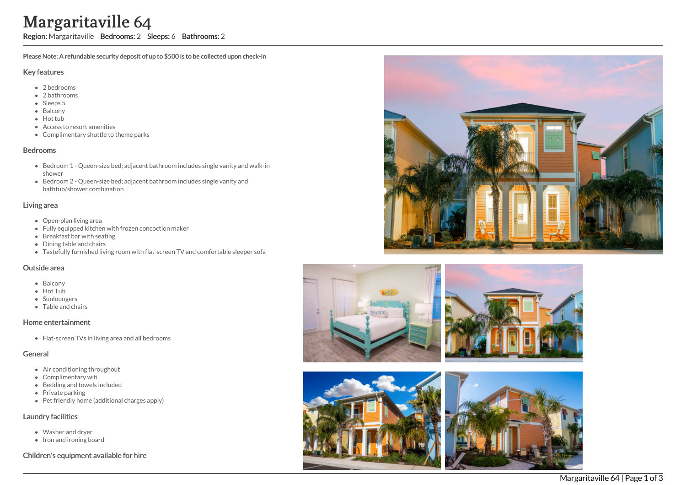# Margaritaville 64

Region: Margaritaville Bedrooms: 2 Sleeps: 6 Bathrooms: 2

Please Note: A refundable security deposit of up to \$500 is to be collected upon check-in

## Key features

- 2 b e d r o o m s
- 2 bathrooms
- Sleeps 5
- **Balcony**
- Hot tub
- Access to resort amenities
- Complimentary shuttle to theme parks

## **Bedrooms**

- Bedroom 1 Queen-size bed; adjacent bathroom includes single vanity and walk-in s h o w e r
- Bedroom 2 Queen-size bed; adjacent bathroom includes single vanity and bathtub/shower combination

## Living area

- Open-plan living area
- Fully equipped kitchen with frozen concoction maker
- Breakfast bar with seating
- Dining table and chairs
- Tastefully furnished living room with flat-screen TV and comfortable sleeper sofa

#### Outside area

- **Balcony**
- Hot Tub
- **Sunloungers**
- T a ble a n d c h air s

#### Home entertainment

Flat-screen TVs in living area and all bedrooms

# General

- Air conditioning throughout
- Complimentary wifi
- Bedding and towels in clu d e d
- Private parking
- Pet friendly home (additional charges apply)

# Laundry facilities

- Washer and dryer
- Iron and ironing board

# Children's equipment available for hire









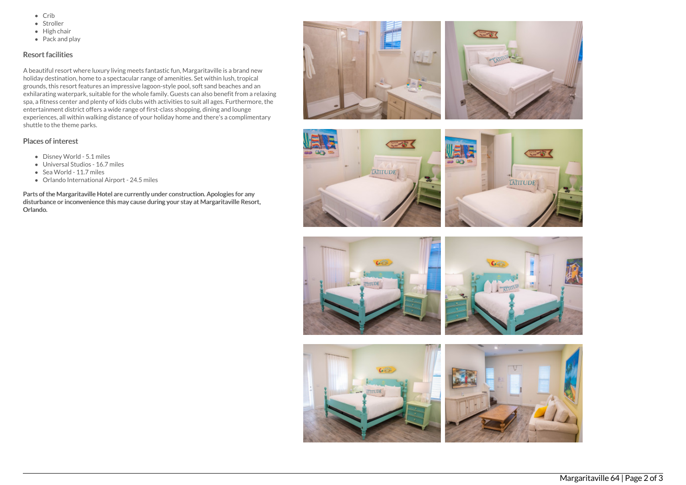- $\bullet$  Crib
- Stroller
- $\bullet$  High chair
- Pack and play

# Resort facilities

A beautiful resort where luxury living meets fantastic fun, Margaritaville is a brand new holiday destination, home to a spectacular range of amenities. Set within lush, tropical grounds, this resort features an impressive lagoon-style pool, soft sand beaches and an exhilarating waterpark, suitable for the whole family. Guests can also benefit from a relaxing spa, a fitness center and plenty of kids clubs with activities to suit all ages. Furthermore, the entertainment district offers a wide range of first-class shopping, dining and lounge experiences, all within walking distance of your holiday home and there's a complimentary shuttle to the theme parks.

# Places of interest

- Disney World 5.1 miles
- Universal Studios 16.7 miles
- Sea World 11.7 miles
- Orlando International Airport 24.5 miles

Parts of the Margaritaville Hotel are currently under construction. Apologies for any disturbance or inconvenience this may cause during your stay at Margaritaville Resort, Orlando.